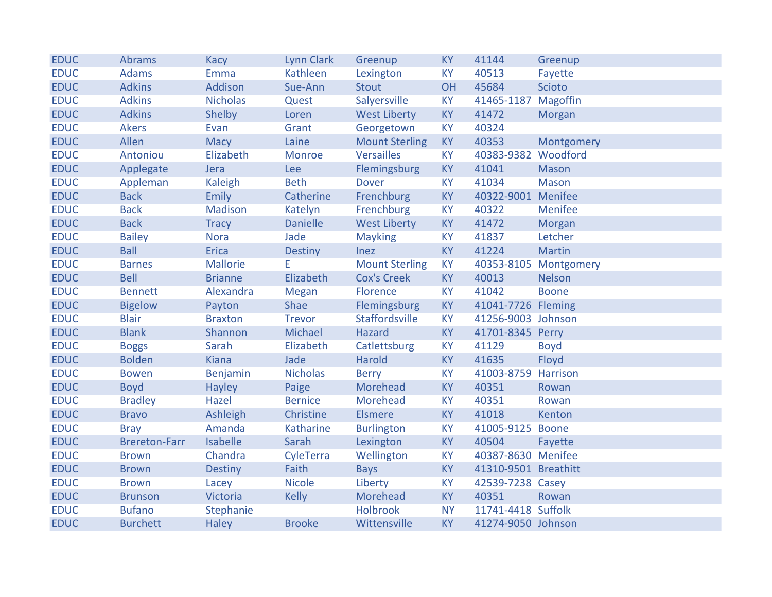| <b>EDUC</b> | <b>Abrams</b>        | Kacy            | Lynn Clark      | Greenup               | <b>KY</b> | 41144                | Greenup               |
|-------------|----------------------|-----------------|-----------------|-----------------------|-----------|----------------------|-----------------------|
| <b>EDUC</b> | <b>Adams</b>         | Emma            | Kathleen        | Lexington             | <b>KY</b> | 40513                | Fayette               |
| <b>EDUC</b> | <b>Adkins</b>        | Addison         | Sue-Ann         | <b>Stout</b>          | OH        | 45684                | <b>Scioto</b>         |
| <b>EDUC</b> | <b>Adkins</b>        | <b>Nicholas</b> | Quest           | Salyersville          | <b>KY</b> | 41465-1187 Magoffin  |                       |
| <b>EDUC</b> | <b>Adkins</b>        | Shelby          | Loren           | <b>West Liberty</b>   | <b>KY</b> | 41472                | <b>Morgan</b>         |
| <b>EDUC</b> | <b>Akers</b>         | Evan            | Grant           | Georgetown            | <b>KY</b> | 40324                |                       |
| <b>EDUC</b> | Allen                | Macy            | Laine           | <b>Mount Sterling</b> | KY        | 40353                | Montgomery            |
| <b>EDUC</b> | Antoniou             | Elizabeth       | Monroe          | <b>Versailles</b>     | <b>KY</b> | 40383-9382           | Woodford              |
| <b>EDUC</b> | Applegate            | Jera            | Lee             | Flemingsburg          | <b>KY</b> | 41041                | <b>Mason</b>          |
| <b>EDUC</b> | Appleman             | Kaleigh         | <b>Beth</b>     | <b>Dover</b>          | <b>KY</b> | 41034                | <b>Mason</b>          |
| <b>EDUC</b> | <b>Back</b>          | Emily           | Catherine       | Frenchburg            | <b>KY</b> | 40322-9001 Menifee   |                       |
| <b>EDUC</b> | <b>Back</b>          | <b>Madison</b>  | Katelyn         | Frenchburg            | KY        | 40322                | Menifee               |
| <b>EDUC</b> | <b>Back</b>          | <b>Tracy</b>    | <b>Danielle</b> | <b>West Liberty</b>   | <b>KY</b> | 41472                | Morgan                |
| <b>EDUC</b> | <b>Bailey</b>        | <b>Nora</b>     | Jade            | <b>Mayking</b>        | <b>KY</b> | 41837                | Letcher               |
| <b>EDUC</b> | <b>Ball</b>          | <b>Erica</b>    | <b>Destiny</b>  | <b>Inez</b>           | <b>KY</b> | 41224                | <b>Martin</b>         |
| <b>EDUC</b> | <b>Barnes</b>        | <b>Mallorie</b> | Е               | <b>Mount Sterling</b> | <b>KY</b> |                      | 40353-8105 Montgomery |
| <b>EDUC</b> | <b>Bell</b>          | <b>Brianne</b>  | Elizabeth       | <b>Cox's Creek</b>    | <b>KY</b> | 40013                | <b>Nelson</b>         |
| <b>EDUC</b> | <b>Bennett</b>       | Alexandra       | Megan           | Florence              | <b>KY</b> | 41042                | <b>Boone</b>          |
| <b>EDUC</b> | <b>Bigelow</b>       | Payton          | Shae            | Flemingsburg          | <b>KY</b> | 41041-7726 Fleming   |                       |
| <b>EDUC</b> | <b>Blair</b>         | <b>Braxton</b>  | <b>Trevor</b>   | <b>Staffordsville</b> | <b>KY</b> | 41256-9003 Johnson   |                       |
| <b>EDUC</b> | <b>Blank</b>         | Shannon         | Michael         | Hazard                | <b>KY</b> | 41701-8345 Perry     |                       |
| <b>EDUC</b> | <b>Boggs</b>         | Sarah           | Elizabeth       | Catlettsburg          | <b>KY</b> | 41129                | <b>Boyd</b>           |
| <b>EDUC</b> | <b>Bolden</b>        | <b>Kiana</b>    | Jade            | <b>Harold</b>         | <b>KY</b> | 41635                | Floyd                 |
| <b>EDUC</b> | <b>Bowen</b>         | Benjamin        | <b>Nicholas</b> | <b>Berry</b>          | KY        | 41003-8759 Harrison  |                       |
| <b>EDUC</b> | <b>Boyd</b>          | <b>Hayley</b>   | Paige           | <b>Morehead</b>       | KY        | 40351                | Rowan                 |
| <b>EDUC</b> | <b>Bradley</b>       | Hazel           | <b>Bernice</b>  | Morehead              | <b>KY</b> | 40351                | Rowan                 |
| <b>EDUC</b> | <b>Bravo</b>         | Ashleigh        | Christine       | <b>Elsmere</b>        | <b>KY</b> | 41018                | Kenton                |
| <b>EDUC</b> | <b>Bray</b>          | Amanda          | Katharine       | <b>Burlington</b>     | <b>KY</b> | 41005-9125 Boone     |                       |
| <b>EDUC</b> | <b>Brereton-Farr</b> | <b>Isabelle</b> | Sarah           | Lexington             | <b>KY</b> | 40504                | Fayette               |
| <b>EDUC</b> | <b>Brown</b>         | Chandra         | CyleTerra       | Wellington            | <b>KY</b> | 40387-8630 Menifee   |                       |
| <b>EDUC</b> | <b>Brown</b>         | <b>Destiny</b>  | Faith           | <b>Bays</b>           | <b>KY</b> | 41310-9501 Breathitt |                       |
| <b>EDUC</b> | <b>Brown</b>         | Lacey           | <b>Nicole</b>   | Liberty               | <b>KY</b> | 42539-7238 Casey     |                       |
| <b>EDUC</b> | <b>Brunson</b>       | Victoria        | <b>Kelly</b>    | Morehead              | <b>KY</b> | 40351                | Rowan                 |
| <b>EDUC</b> | <b>Bufano</b>        | Stephanie       |                 | <b>Holbrook</b>       | <b>NY</b> | 11741-4418 Suffolk   |                       |
| <b>EDUC</b> | <b>Burchett</b>      | <b>Haley</b>    | <b>Brooke</b>   | Wittensville          | <b>KY</b> | 41274-9050 Johnson   |                       |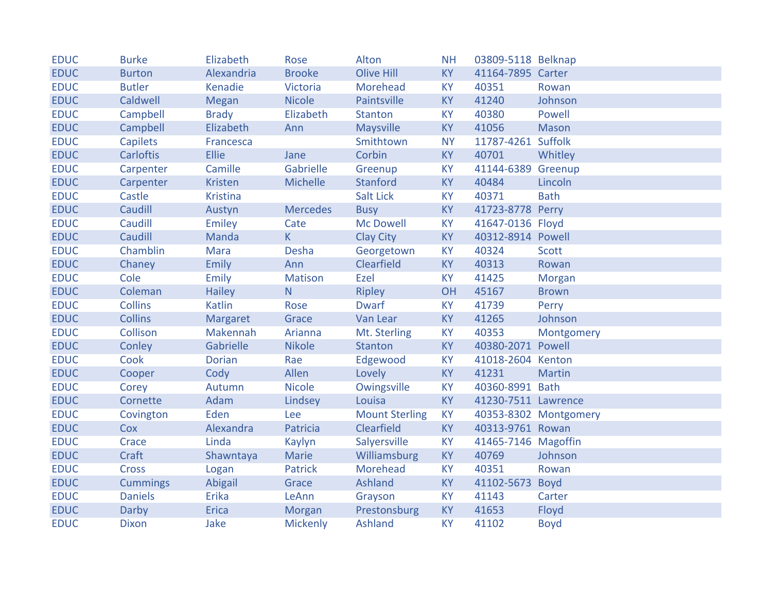| <b>EDUC</b> | <b>Burke</b>     | Elizabeth       | Rose            | Alton                 | <b>NH</b> | 03809-5118 Belknap  |                       |
|-------------|------------------|-----------------|-----------------|-----------------------|-----------|---------------------|-----------------------|
| <b>EDUC</b> | <b>Burton</b>    | Alexandria      | <b>Brooke</b>   | <b>Olive Hill</b>     | <b>KY</b> | 41164-7895 Carter   |                       |
| <b>EDUC</b> | <b>Butler</b>    | Kenadie         | Victoria        | <b>Morehead</b>       | <b>KY</b> | 40351               | Rowan                 |
| <b>EDUC</b> | Caldwell         | Megan           | <b>Nicole</b>   | Paintsville           | <b>KY</b> | 41240               | Johnson               |
| <b>EDUC</b> | Campbell         | <b>Brady</b>    | Elizabeth       | <b>Stanton</b>        | <b>KY</b> | 40380               | Powell                |
| <b>EDUC</b> | Campbell         | Elizabeth       | Ann             | <b>Maysville</b>      | <b>KY</b> | 41056               | Mason                 |
| <b>EDUC</b> | <b>Capilets</b>  | Francesca       |                 | Smithtown             | <b>NY</b> | 11787-4261 Suffolk  |                       |
| <b>EDUC</b> | <b>Carloftis</b> | Ellie           | Jane            | Corbin                | <b>KY</b> | 40701               | Whitley               |
| <b>EDUC</b> | Carpenter        | Camille         | Gabrielle       | Greenup               | <b>KY</b> | 41144-6389 Greenup  |                       |
| <b>EDUC</b> | Carpenter        | Kristen         | Michelle        | Stanford              | <b>KY</b> | 40484               | Lincoln               |
| <b>EDUC</b> | Castle           | <b>Kristina</b> |                 | <b>Salt Lick</b>      | <b>KY</b> | 40371               | <b>Bath</b>           |
| <b>EDUC</b> | Caudill          | Austyn          | <b>Mercedes</b> | <b>Busy</b>           | <b>KY</b> | 41723-8778 Perry    |                       |
| <b>EDUC</b> | Caudill          | Emiley          | Cate            | <b>Mc Dowell</b>      | <b>KY</b> | 41647-0136 Floyd    |                       |
| <b>EDUC</b> | Caudill          | Manda           | $\mathsf{K}$    | <b>Clay City</b>      | <b>KY</b> | 40312-8914 Powell   |                       |
| <b>EDUC</b> | Chamblin         | <b>Mara</b>     | <b>Desha</b>    | Georgetown            | <b>KY</b> | 40324               | <b>Scott</b>          |
| <b>EDUC</b> | Chaney           | Emily           | Ann             | Clearfield            | <b>KY</b> | 40313               | Rowan                 |
| <b>EDUC</b> | Cole             | Emily           | Matison         | Ezel                  | <b>KY</b> | 41425               | Morgan                |
| <b>EDUC</b> | Coleman          | Hailey          | N               | <b>Ripley</b>         | OH        | 45167               | <b>Brown</b>          |
| <b>EDUC</b> | <b>Collins</b>   | Katlin          | Rose            | <b>Dwarf</b>          | <b>KY</b> | 41739               | Perry                 |
| <b>EDUC</b> | <b>Collins</b>   | Margaret        | Grace           | Van Lear              | <b>KY</b> | 41265               | Johnson               |
| <b>EDUC</b> | Collison         | Makennah        | Arianna         | Mt. Sterling          | <b>KY</b> | 40353               | Montgomery            |
| <b>EDUC</b> | Conley           | Gabrielle       | <b>Nikole</b>   | Stanton               | <b>KY</b> | 40380-2071 Powell   |                       |
| <b>EDUC</b> | Cook             | <b>Dorian</b>   | Rae             | Edgewood              | KY        | 41018-2604 Kenton   |                       |
| <b>EDUC</b> | Cooper           | Cody            | Allen           | Lovely                | <b>KY</b> | 41231               | <b>Martin</b>         |
| <b>EDUC</b> | Corey            | Autumn          | <b>Nicole</b>   | Owingsville           | <b>KY</b> | 40360-8991 Bath     |                       |
| <b>EDUC</b> | Cornette         | Adam            | Lindsey         | Louisa                | <b>KY</b> | 41230-7511 Lawrence |                       |
| <b>EDUC</b> | Covington        | Eden            | Lee             | <b>Mount Sterling</b> | KY        |                     | 40353-8302 Montgomery |
| <b>EDUC</b> | Cox              | Alexandra       | Patricia        | Clearfield            | <b>KY</b> | 40313-9761 Rowan    |                       |
| <b>EDUC</b> | Crace            | Linda           | Kaylyn          | Salyersville          | <b>KY</b> | 41465-7146 Magoffin |                       |
| <b>EDUC</b> | Craft            | Shawntaya       | Marie           | Williamsburg          | <b>KY</b> | 40769               | Johnson               |
| <b>EDUC</b> | <b>Cross</b>     | Logan           | Patrick         | Morehead              | <b>KY</b> | 40351               | Rowan                 |
| <b>EDUC</b> | <b>Cummings</b>  | Abigail         | Grace           | Ashland               | <b>KY</b> | 41102-5673 Boyd     |                       |
| <b>EDUC</b> | <b>Daniels</b>   | Erika           | LeAnn           | Grayson               | <b>KY</b> | 41143               | Carter                |
| <b>EDUC</b> | Darby            | Erica           | Morgan          | Prestonsburg          | <b>KY</b> | 41653               | Floyd                 |
| <b>EDUC</b> | <b>Dixon</b>     | Jake            | <b>Mickenly</b> | <b>Ashland</b>        | <b>KY</b> | 41102               | <b>Boyd</b>           |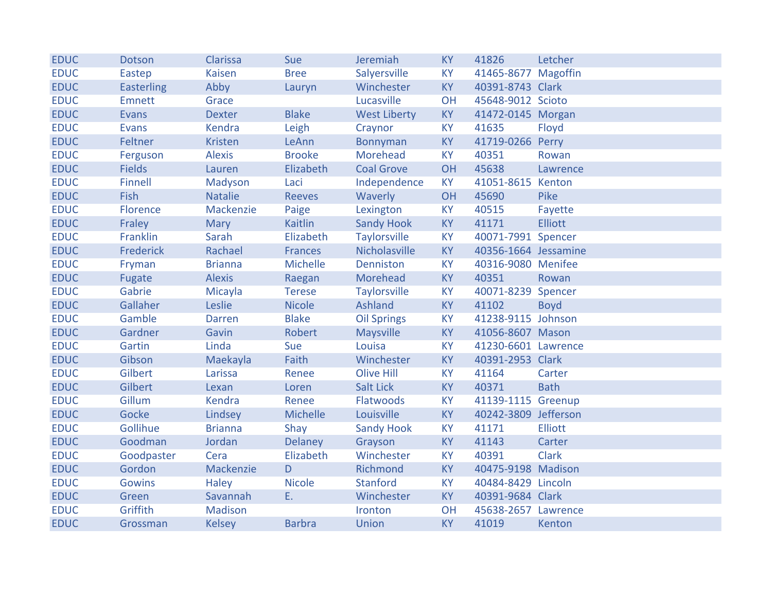| <b>EDUC</b> | Dotson            | Clarissa       | Sue            | Jeremiah            | <b>KY</b> | 41826                | Letcher        |
|-------------|-------------------|----------------|----------------|---------------------|-----------|----------------------|----------------|
| <b>EDUC</b> | Eastep            | <b>Kaisen</b>  | <b>Bree</b>    | Salyersville        | <b>KY</b> | 41465-8677 Magoffin  |                |
| <b>EDUC</b> | <b>Easterling</b> | Abby           | Lauryn         | Winchester          | KY        | 40391-8743 Clark     |                |
| <b>EDUC</b> | <b>Emnett</b>     | Grace          |                | Lucasville          | OH        | 45648-9012 Scioto    |                |
| <b>EDUC</b> | Evans             | <b>Dexter</b>  | <b>Blake</b>   | <b>West Liberty</b> | <b>KY</b> | 41472-0145 Morgan    |                |
| <b>EDUC</b> | <b>Evans</b>      | Kendra         | Leigh          | Craynor             | <b>KY</b> | 41635                | Floyd          |
| <b>EDUC</b> | Feltner           | Kristen        | LeAnn          | <b>Bonnyman</b>     | KY        | 41719-0266 Perry     |                |
| <b>EDUC</b> | Ferguson          | <b>Alexis</b>  | <b>Brooke</b>  | Morehead            | <b>KY</b> | 40351                | Rowan          |
| <b>EDUC</b> | <b>Fields</b>     | Lauren         | Elizabeth      | <b>Coal Grove</b>   | OH        | 45638                | Lawrence       |
| <b>EDUC</b> | <b>Finnell</b>    | Madyson        | Laci           | Independence        | <b>KY</b> | 41051-8615 Kenton    |                |
| <b>EDUC</b> | Fish              | <b>Natalie</b> | <b>Reeves</b>  | Waverly             | OH        | 45690                | Pike           |
| <b>EDUC</b> | Florence          | Mackenzie      | Paige          | Lexington           | <b>KY</b> | 40515                | Fayette        |
| <b>EDUC</b> | Fraley            | <b>Mary</b>    | Kaitlin        | <b>Sandy Hook</b>   | <b>KY</b> | 41171                | <b>Elliott</b> |
| <b>EDUC</b> | Franklin          | Sarah          | Elizabeth      | <b>Taylorsville</b> | <b>KY</b> | 40071-7991 Spencer   |                |
| <b>EDUC</b> | Frederick         | Rachael        | <b>Frances</b> | Nicholasville       | <b>KY</b> | 40356-1664 Jessamine |                |
| <b>EDUC</b> | Fryman            | <b>Brianna</b> | Michelle       | Denniston           | <b>KY</b> | 40316-9080 Menifee   |                |
| <b>EDUC</b> | Fugate            | <b>Alexis</b>  | Raegan         | Morehead            | <b>KY</b> | 40351                | Rowan          |
| <b>EDUC</b> | Gabrie            | Micayla        | <b>Terese</b>  | <b>Taylorsville</b> | <b>KY</b> | 40071-8239 Spencer   |                |
| <b>EDUC</b> | Gallaher          | Leslie         | <b>Nicole</b>  | Ashland             | <b>KY</b> | 41102                | <b>Boyd</b>    |
| <b>EDUC</b> | Gamble            | Darren         | <b>Blake</b>   | <b>Oil Springs</b>  | <b>KY</b> | 41238-9115 Johnson   |                |
| <b>EDUC</b> | Gardner           | Gavin          | Robert         | <b>Maysville</b>    | <b>KY</b> | 41056-8607 Mason     |                |
| <b>EDUC</b> | Gartin            | Linda          | Sue            | Louisa              | <b>KY</b> | 41230-6601 Lawrence  |                |
| <b>EDUC</b> | Gibson            | Maekayla       | Faith          | Winchester          | <b>KY</b> | 40391-2953 Clark     |                |
| <b>EDUC</b> | Gilbert           | Larissa        | Renee          | <b>Olive Hill</b>   | <b>KY</b> | 41164                | Carter         |
| <b>EDUC</b> | Gilbert           | Lexan          | Loren          | Salt Lick           | <b>KY</b> | 40371                | <b>Bath</b>    |
| <b>EDUC</b> | Gillum            | <b>Kendra</b>  | Renee          | <b>Flatwoods</b>    | <b>KY</b> | 41139-1115 Greenup   |                |
| <b>EDUC</b> | Gocke             | Lindsey        | Michelle       | Louisville          | <b>KY</b> | 40242-3809 Jefferson |                |
| <b>EDUC</b> | Gollihue          | <b>Brianna</b> | Shay           | <b>Sandy Hook</b>   | <b>KY</b> | 41171                | <b>Elliott</b> |
| <b>EDUC</b> | Goodman           | Jordan         | <b>Delaney</b> | Grayson             | <b>KY</b> | 41143                | Carter         |
| <b>EDUC</b> | Goodpaster        | Cera           | Elizabeth      | Winchester          | <b>KY</b> | 40391                | <b>Clark</b>   |
| <b>EDUC</b> | Gordon            | Mackenzie      | D              | Richmond            | <b>KY</b> | 40475-9198 Madison   |                |
| <b>EDUC</b> | <b>Gowins</b>     | <b>Haley</b>   | <b>Nicole</b>  | <b>Stanford</b>     | <b>KY</b> | 40484-8429 Lincoln   |                |
| <b>EDUC</b> | Green             | Savannah       | E.             | Winchester          | <b>KY</b> | 40391-9684 Clark     |                |
| <b>EDUC</b> | Griffith          | Madison        |                | Ironton             | OH        | 45638-2657 Lawrence  |                |
| <b>EDUC</b> | Grossman          | <b>Kelsey</b>  | <b>Barbra</b>  | <b>Union</b>        | <b>KY</b> | 41019                | Kenton         |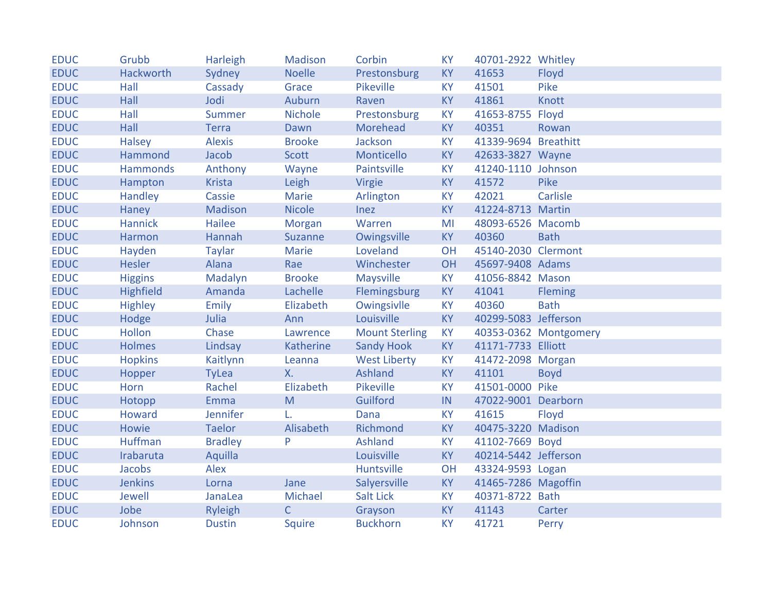| <b>EDUC</b> | Grubb           | Harleigh       | Madison        | Corbin                | <b>KY</b> | 40701-2922 Whitley   |                       |
|-------------|-----------------|----------------|----------------|-----------------------|-----------|----------------------|-----------------------|
| <b>EDUC</b> | Hackworth       | Sydney         | <b>Noelle</b>  | Prestonsburg          | <b>KY</b> | 41653                | Floyd                 |
| <b>EDUC</b> | Hall            | Cassady        | Grace          | Pikeville             | <b>KY</b> | 41501                | Pike                  |
| <b>EDUC</b> | Hall            | Jodi           | Auburn         | Raven                 | <b>KY</b> | 41861                | Knott                 |
| <b>EDUC</b> | Hall            | Summer         | <b>Nichole</b> | Prestonsburg          | <b>KY</b> | 41653-8755 Floyd     |                       |
| <b>EDUC</b> | Hall            | <b>Terra</b>   | Dawn           | Morehead              | <b>KY</b> | 40351                | Rowan                 |
| <b>EDUC</b> | <b>Halsey</b>   | <b>Alexis</b>  | <b>Brooke</b>  | Jackson               | <b>KY</b> | 41339-9694 Breathitt |                       |
| <b>EDUC</b> | Hammond         | Jacob          | <b>Scott</b>   | Monticello            | <b>KY</b> | 42633-3827 Wayne     |                       |
| <b>EDUC</b> | <b>Hammonds</b> | Anthony        | Wayne          | Paintsville           | <b>KY</b> | 41240-1110 Johnson   |                       |
| <b>EDUC</b> | Hampton         | <b>Krista</b>  | Leigh          | Virgie                | <b>KY</b> | 41572                | Pike                  |
| <b>EDUC</b> | Handley         | Cassie         | Marie          | Arlington             | <b>KY</b> | 42021                | Carlisle              |
| <b>EDUC</b> | Haney           | Madison        | <b>Nicole</b>  | Inez                  | <b>KY</b> | 41224-8713 Martin    |                       |
| <b>EDUC</b> | <b>Hannick</b>  | Hailee         | <b>Morgan</b>  | Warren                | MI        | 48093-6526 Macomb    |                       |
| <b>EDUC</b> | Harmon          | Hannah         | <b>Suzanne</b> | Owingsville           | <b>KY</b> | 40360                | <b>Bath</b>           |
| <b>EDUC</b> | Hayden          | <b>Taylar</b>  | Marie          | Loveland              | OH        | 45140-2030 Clermont  |                       |
| <b>EDUC</b> | Hesler          | Alana          | Rae            | Winchester            | OH        | 45697-9408 Adams     |                       |
| <b>EDUC</b> | <b>Higgins</b>  | Madalyn        | <b>Brooke</b>  | <b>Maysville</b>      | <b>KY</b> | 41056-8842 Mason     |                       |
| <b>EDUC</b> | Highfield       | Amanda         | Lachelle       | Flemingsburg          | <b>KY</b> | 41041                | <b>Fleming</b>        |
| <b>EDUC</b> | <b>Highley</b>  | Emily          | Elizabeth      | Owingsivlle           | <b>KY</b> | 40360                | <b>Bath</b>           |
| <b>EDUC</b> | Hodge           | Julia          | Ann            | Louisville            | <b>KY</b> | 40299-5083 Jefferson |                       |
| <b>EDUC</b> | Hollon          | Chase          | Lawrence       | <b>Mount Sterling</b> | <b>KY</b> |                      | 40353-0362 Montgomery |
| <b>EDUC</b> | <b>Holmes</b>   | Lindsay        | Katherine      | <b>Sandy Hook</b>     | <b>KY</b> | 41171-7733 Elliott   |                       |
| <b>EDUC</b> | <b>Hopkins</b>  | Kaitlynn       | Leanna         | <b>West Liberty</b>   | <b>KY</b> | 41472-2098 Morgan    |                       |
| <b>EDUC</b> | Hopper          | <b>TyLea</b>   | <b>X.</b>      | Ashland               | <b>KY</b> | 41101                | <b>Boyd</b>           |
| <b>EDUC</b> | Horn            | Rachel         | Elizabeth      | Pikeville             | <b>KY</b> | 41501-0000 Pike      |                       |
| <b>EDUC</b> | Hotopp          | Emma           | M              | Guilford              | IN.       | 47022-9001 Dearborn  |                       |
| <b>EDUC</b> | Howard          | Jennifer       | L.             | Dana                  | KY        | 41615                | Floyd                 |
| <b>EDUC</b> | Howie           | <b>Taelor</b>  | Alisabeth      | Richmond              | <b>KY</b> | 40475-3220 Madison   |                       |
| <b>EDUC</b> | Huffman         | <b>Bradley</b> | $\mathsf{P}$   | <b>Ashland</b>        | <b>KY</b> | 41102-7669 Boyd      |                       |
| <b>EDUC</b> | Irabaruta       | Aquilla        |                | Louisville            | <b>KY</b> | 40214-5442 Jefferson |                       |
| <b>EDUC</b> | Jacobs          | Alex           |                | Huntsville            | OH        | 43324-9593 Logan     |                       |
| <b>EDUC</b> | <b>Jenkins</b>  | Lorna          | Jane           | Salyersville          | KY        | 41465-7286 Magoffin  |                       |
| <b>EDUC</b> | Jewell          | JanaLea        | Michael        | <b>Salt Lick</b>      | <b>KY</b> | 40371-8722 Bath      |                       |
| <b>EDUC</b> | Jobe            | Ryleigh        | $\mathsf{C}$   | Grayson               | <b>KY</b> | 41143                | Carter                |
| <b>EDUC</b> | Johnson         | <b>Dustin</b>  | <b>Squire</b>  | <b>Buckhorn</b>       | <b>KY</b> | 41721                | Perry                 |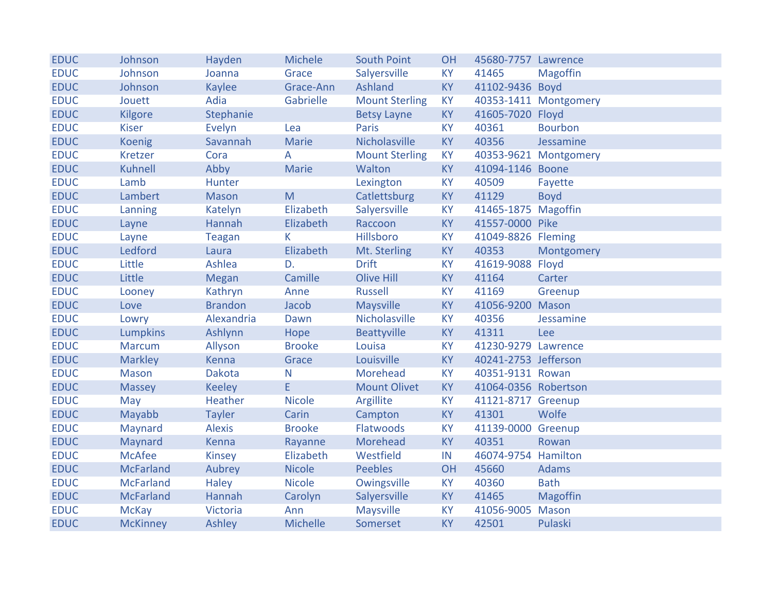| <b>EDUC</b> | Johnson          | Hayden         | <b>Michele</b>  | <b>South Point</b>    | <b>OH</b> | 45680-7757 Lawrence  |                       |
|-------------|------------------|----------------|-----------------|-----------------------|-----------|----------------------|-----------------------|
| <b>EDUC</b> | Johnson          | Joanna         | Grace           | Salyersville          | <b>KY</b> | 41465                | <b>Magoffin</b>       |
| <b>EDUC</b> | Johnson          | <b>Kaylee</b>  | Grace-Ann       | Ashland               | <b>KY</b> | 41102-9436 Boyd      |                       |
| <b>EDUC</b> | Jouett           | Adia           | Gabrielle       | <b>Mount Sterling</b> | <b>KY</b> |                      | 40353-1411 Montgomery |
| <b>EDUC</b> | Kilgore          | Stephanie      |                 | <b>Betsy Layne</b>    | <b>KY</b> | 41605-7020 Floyd     |                       |
| <b>EDUC</b> | <b>Kiser</b>     | Evelyn         | Lea             | <b>Paris</b>          | <b>KY</b> | 40361                | <b>Bourbon</b>        |
| <b>EDUC</b> | <b>Koenig</b>    | Savannah       | Marie           | Nicholasville         | <b>KY</b> | 40356                | Jessamine             |
| <b>EDUC</b> | <b>Kretzer</b>   | Cora           | A               | <b>Mount Sterling</b> | <b>KY</b> |                      | 40353-9621 Montgomery |
| <b>EDUC</b> | Kuhnell          | Abby           | Marie           | Walton                | <b>KY</b> | 41094-1146 Boone     |                       |
| <b>EDUC</b> | Lamb             | Hunter         |                 | Lexington             | <b>KY</b> | 40509                | Fayette               |
| <b>EDUC</b> | Lambert          | <b>Mason</b>   | M               | Catlettsburg          | <b>KY</b> | 41129                | <b>Boyd</b>           |
| <b>EDUC</b> | Lanning          | Katelyn        | Elizabeth       | Salyersville          | <b>KY</b> | 41465-1875 Magoffin  |                       |
| <b>EDUC</b> | Layne            | Hannah         | Elizabeth       | Raccoon               | <b>KY</b> | 41557-0000 Pike      |                       |
| <b>EDUC</b> | Layne            | <b>Teagan</b>  | K               | Hillsboro             | <b>KY</b> | 41049-8826 Fleming   |                       |
| <b>EDUC</b> | Ledford          | Laura          | Elizabeth       | Mt. Sterling          | <b>KY</b> | 40353                | Montgomery            |
| <b>EDUC</b> | Little           | Ashlea         | D.              | <b>Drift</b>          | <b>KY</b> | 41619-9088 Floyd     |                       |
| <b>EDUC</b> | Little           | <b>Megan</b>   | Camille         | <b>Olive Hill</b>     | <b>KY</b> | 41164                | Carter                |
| <b>EDUC</b> | Looney           | Kathryn        | Anne            | <b>Russell</b>        | <b>KY</b> | 41169                | Greenup               |
| <b>EDUC</b> | Love             | <b>Brandon</b> | Jacob           | <b>Maysville</b>      | <b>KY</b> | 41056-9200 Mason     |                       |
| <b>EDUC</b> | Lowry            | Alexandria     | Dawn            | Nicholasville         | <b>KY</b> | 40356                | Jessamine             |
| <b>EDUC</b> | <b>Lumpkins</b>  | Ashlynn        | Hope            | Beattyville           | <b>KY</b> | 41311                | Lee                   |
| <b>EDUC</b> | <b>Marcum</b>    | Allyson        | <b>Brooke</b>   | Louisa                | <b>KY</b> | 41230-9279 Lawrence  |                       |
| <b>EDUC</b> | <b>Markley</b>   | Kenna          | Grace           | Louisville            | <b>KY</b> | 40241-2753 Jefferson |                       |
| <b>EDUC</b> | <b>Mason</b>     | <b>Dakota</b>  | N               | <b>Morehead</b>       | <b>KY</b> | 40351-9131 Rowan     |                       |
| <b>EDUC</b> | <b>Massey</b>    | <b>Keeley</b>  | E               | <b>Mount Olivet</b>   | <b>KY</b> | 41064-0356 Robertson |                       |
| <b>EDUC</b> | May              | Heather        | <b>Nicole</b>   | Argillite             | <b>KY</b> | 41121-8717 Greenup   |                       |
| <b>EDUC</b> | Mayabb           | <b>Tayler</b>  | Carin           | Campton               | <b>KY</b> | 41301                | Wolfe                 |
| <b>EDUC</b> | Maynard          | <b>Alexis</b>  | <b>Brooke</b>   | Flatwoods             | <b>KY</b> | 41139-0000 Greenup   |                       |
| <b>EDUC</b> | Maynard          | Kenna          | Rayanne         | Morehead              | <b>KY</b> | 40351                | Rowan                 |
| <b>EDUC</b> | <b>McAfee</b>    | <b>Kinsey</b>  | Elizabeth       | Westfield             | IN        | 46074-9754 Hamilton  |                       |
| <b>EDUC</b> | <b>McFarland</b> | Aubrey         | <b>Nicole</b>   | <b>Peebles</b>        | OH        | 45660                | Adams                 |
| <b>EDUC</b> | <b>McFarland</b> | <b>Haley</b>   | <b>Nicole</b>   | Owingsville           | <b>KY</b> | 40360                | <b>Bath</b>           |
| <b>EDUC</b> | <b>McFarland</b> | Hannah         | Carolyn         | Salyersville          | <b>KY</b> | 41465                | <b>Magoffin</b>       |
| <b>EDUC</b> | <b>McKay</b>     | Victoria       | Ann             | <b>Maysville</b>      | KY        | 41056-9005 Mason     |                       |
| <b>EDUC</b> | <b>McKinney</b>  | Ashley         | <b>Michelle</b> | Somerset              | <b>KY</b> | 42501                | Pulaski               |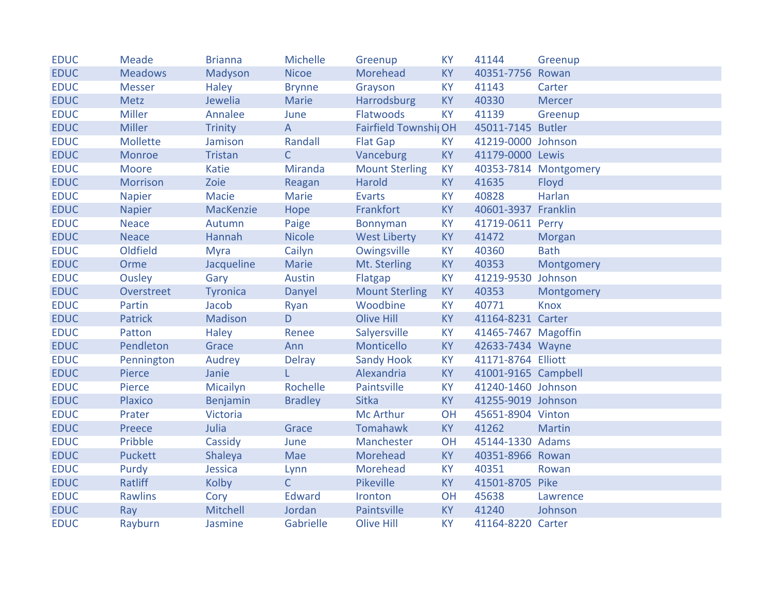| <b>EDUC</b> | Meade          | <b>Brianna</b>  | Michelle       | Greenup               | <b>KY</b> | 41144               | Greenup               |
|-------------|----------------|-----------------|----------------|-----------------------|-----------|---------------------|-----------------------|
| <b>EDUC</b> | <b>Meadows</b> | Madyson         | <b>Nicoe</b>   | Morehead              | <b>KY</b> | 40351-7756 Rowan    |                       |
| <b>EDUC</b> | <b>Messer</b>  | Haley           | <b>Brynne</b>  | Grayson               | <b>KY</b> | 41143               | Carter                |
| <b>EDUC</b> | <b>Metz</b>    | Jewelia         | Marie          | Harrodsburg           | <b>KY</b> | 40330               | <b>Mercer</b>         |
| <b>EDUC</b> | <b>Miller</b>  | Annalee         | June           | Flatwoods             | <b>KY</b> | 41139               | Greenup               |
| <b>EDUC</b> | <b>Miller</b>  | <b>Trinity</b>  | $\overline{A}$ | Fairfield Townshij OH |           | 45011-7145 Butler   |                       |
| <b>EDUC</b> | Mollette       | Jamison         | Randall        | <b>Flat Gap</b>       | <b>KY</b> | 41219-0000 Johnson  |                       |
| <b>EDUC</b> | Monroe         | <b>Tristan</b>  | $\mathsf{C}$   | Vanceburg             | <b>KY</b> | 41179-0000 Lewis    |                       |
| <b>EDUC</b> | Moore          | Katie           | Miranda        | <b>Mount Sterling</b> | <b>KY</b> |                     | 40353-7814 Montgomery |
| <b>EDUC</b> | Morrison       | Zoie            | Reagan         | Harold                | <b>KY</b> | 41635               | Floyd                 |
| <b>EDUC</b> | <b>Napier</b>  | Macie           | Marie          | <b>Evarts</b>         | <b>KY</b> | 40828               | Harlan                |
| <b>EDUC</b> | <b>Napier</b>  | MacKenzie       | Hope           | Frankfort             | <b>KY</b> | 40601-3937 Franklin |                       |
| <b>EDUC</b> | <b>Neace</b>   | Autumn          | Paige          | <b>Bonnyman</b>       | <b>KY</b> | 41719-0611 Perry    |                       |
| <b>EDUC</b> | <b>Neace</b>   | Hannah          | <b>Nicole</b>  | <b>West Liberty</b>   | <b>KY</b> | 41472               | Morgan                |
| <b>EDUC</b> | Oldfield       | <b>Myra</b>     | Cailyn         | Owingsville           | <b>KY</b> | 40360               | <b>Bath</b>           |
| <b>EDUC</b> | Orme           | Jacqueline      | Marie          | Mt. Sterling          | <b>KY</b> | 40353               | Montgomery            |
| <b>EDUC</b> | Ousley         | Gary            | Austin         | Flatgap               | <b>KY</b> | 41219-9530 Johnson  |                       |
| <b>EDUC</b> | Overstreet     | <b>Tyronica</b> | Danyel         | <b>Mount Sterling</b> | <b>KY</b> | 40353               | Montgomery            |
| <b>EDUC</b> | Partin         | Jacob           | Ryan           | Woodbine              | <b>KY</b> | 40771               | <b>Knox</b>           |
| <b>EDUC</b> | Patrick        | Madison         | D.             | Olive Hill            | <b>KY</b> | 41164-8231 Carter   |                       |
| <b>EDUC</b> | Patton         | <b>Haley</b>    | Renee          | Salyersville          | <b>KY</b> | 41465-7467 Magoffin |                       |
| <b>EDUC</b> | Pendleton      | Grace           | Ann            | Monticello            | <b>KY</b> | 42633-7434 Wayne    |                       |
| <b>EDUC</b> | Pennington     | Audrey          | Delray         | <b>Sandy Hook</b>     | <b>KY</b> | 41171-8764 Elliott  |                       |
| <b>EDUC</b> | Pierce         | Janie           | L              | Alexandria            | <b>KY</b> | 41001-9165 Campbell |                       |
| <b>EDUC</b> | Pierce         | Micailyn        | Rochelle       | Paintsville           | <b>KY</b> | 41240-1460 Johnson  |                       |
| <b>EDUC</b> | Plaxico        | Benjamin        | <b>Bradley</b> | <b>Sitka</b>          | <b>KY</b> | 41255-9019 Johnson  |                       |
| <b>EDUC</b> | Prater         | Victoria        |                | <b>Mc Arthur</b>      | OH        | 45651-8904 Vinton   |                       |
| <b>EDUC</b> | Preece         | Julia           | Grace          | Tomahawk              | <b>KY</b> | 41262               | <b>Martin</b>         |
| <b>EDUC</b> | Pribble        | Cassidy         | June           | Manchester            | OH        | 45144-1330 Adams    |                       |
| <b>EDUC</b> | <b>Puckett</b> | Shaleya         | Mae            | Morehead              | <b>KY</b> | 40351-8966 Rowan    |                       |
| <b>EDUC</b> | Purdy          | Jessica         | Lynn           | Morehead              | <b>KY</b> | 40351               | Rowan                 |
| <b>EDUC</b> | Ratliff        | Kolby           | $\mathsf{C}$   | <b>Pikeville</b>      | <b>KY</b> | 41501-8705 Pike     |                       |
| <b>EDUC</b> | <b>Rawlins</b> | Cory            | Edward         | Ironton               | OH        | 45638               | Lawrence              |
| <b>EDUC</b> | Ray            | Mitchell        | Jordan         | Paintsville           | KY        | 41240               | Johnson               |
| <b>EDUC</b> | Rayburn        | Jasmine         | Gabrielle      | <b>Olive Hill</b>     | <b>KY</b> | 41164-8220 Carter   |                       |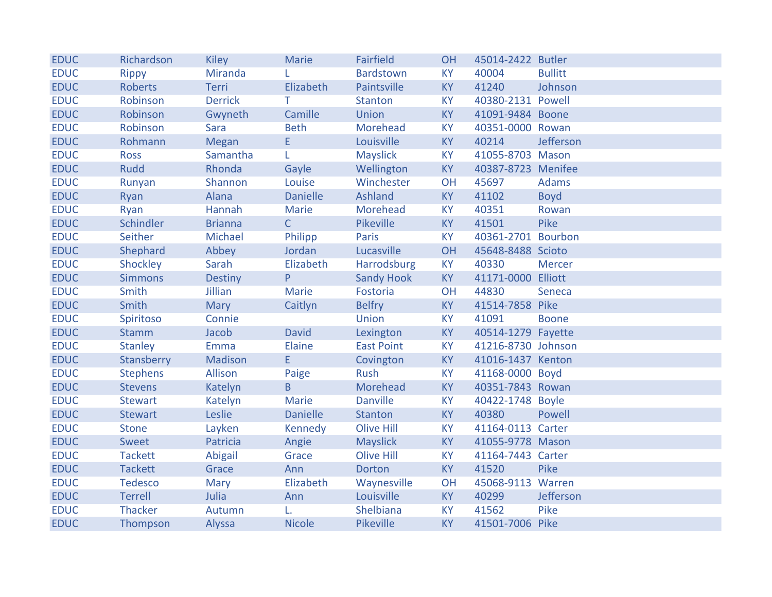| <b>EDUC</b> | Richardson      | <b>Kiley</b>   | <b>Marie</b>    | <b>Fairfield</b>  | <b>OH</b> | 45014-2422 Butler  |                |
|-------------|-----------------|----------------|-----------------|-------------------|-----------|--------------------|----------------|
| <b>EDUC</b> | <b>Rippy</b>    | Miranda        |                 | Bardstown         | <b>KY</b> | 40004              | <b>Bullitt</b> |
| <b>EDUC</b> | <b>Roberts</b>  | Terri          | Elizabeth       | Paintsville       | <b>KY</b> | 41240              | Johnson        |
| <b>EDUC</b> | Robinson        | <b>Derrick</b> | T.              | Stanton           | <b>KY</b> | 40380-2131 Powell  |                |
| <b>EDUC</b> | Robinson        | Gwyneth        | Camille         | <b>Union</b>      | KY        | 41091-9484 Boone   |                |
| <b>EDUC</b> | Robinson        | Sara           | <b>Beth</b>     | Morehead          | <b>KY</b> | 40351-0000 Rowan   |                |
| <b>EDUC</b> | Rohmann         | Megan          | E               | Louisville        | <b>KY</b> | 40214              | Jefferson      |
| <b>EDUC</b> | <b>Ross</b>     | Samantha       | L               | <b>Mayslick</b>   | <b>KY</b> | 41055-8703 Mason   |                |
| <b>EDUC</b> | <b>Rudd</b>     | Rhonda         | Gayle           | Wellington        | <b>KY</b> | 40387-8723 Menifee |                |
| <b>EDUC</b> | Runyan          | Shannon        | Louise          | Winchester        | OH        | 45697              | Adams          |
| <b>EDUC</b> | Ryan            | Alana          | <b>Danielle</b> | Ashland           | <b>KY</b> | 41102              | <b>Boyd</b>    |
| <b>EDUC</b> | Ryan            | Hannah         | Marie           | Morehead          | <b>KY</b> | 40351              | Rowan          |
| <b>EDUC</b> | Schindler       | <b>Brianna</b> | $\mathsf{C}$    | <b>Pikeville</b>  | <b>KY</b> | 41501              | Pike           |
| <b>EDUC</b> | Seither         | Michael        | Philipp         | <b>Paris</b>      | <b>KY</b> | 40361-2701 Bourbon |                |
| <b>EDUC</b> | Shephard        | Abbey          | Jordan          | Lucasville        | <b>OH</b> | 45648-8488 Scioto  |                |
| <b>EDUC</b> | Shockley        | Sarah          | Elizabeth       | Harrodsburg       | <b>KY</b> | 40330              | <b>Mercer</b>  |
| <b>EDUC</b> | <b>Simmons</b>  | <b>Destiny</b> | P.              | <b>Sandy Hook</b> | KY        | 41171-0000 Elliott |                |
| <b>EDUC</b> | Smith           | Jillian        | Marie           | Fostoria          | OH        | 44830              | Seneca         |
| <b>EDUC</b> | Smith           | <b>Mary</b>    | Caitlyn         | <b>Belfry</b>     | KY        | 41514-7858 Pike    |                |
| <b>EDUC</b> | Spiritoso       | Connie         |                 | <b>Union</b>      | <b>KY</b> | 41091              | <b>Boone</b>   |
| <b>EDUC</b> | <b>Stamm</b>    | Jacob          | <b>David</b>    | Lexington         | <b>KY</b> | 40514-1279 Fayette |                |
| <b>EDUC</b> | <b>Stanley</b>  | Emma           | Elaine          | <b>East Point</b> | <b>KY</b> | 41216-8730 Johnson |                |
| <b>EDUC</b> | Stansberry      | Madison        | E               | Covington         | <b>KY</b> | 41016-1437 Kenton  |                |
| <b>EDUC</b> | <b>Stephens</b> | Allison        | Paige           | Rush              | <b>KY</b> | 41168-0000 Boyd    |                |
| <b>EDUC</b> | <b>Stevens</b>  | Katelyn        | B               | Morehead          | <b>KY</b> | 40351-7843 Rowan   |                |
| <b>EDUC</b> | <b>Stewart</b>  | Katelyn        | Marie           | <b>Danville</b>   | <b>KY</b> | 40422-1748 Boyle   |                |
| <b>EDUC</b> | <b>Stewart</b>  | Leslie         | <b>Danielle</b> | <b>Stanton</b>    | <b>KY</b> | 40380              | Powell         |
| <b>EDUC</b> | <b>Stone</b>    | Layken         | Kennedy         | <b>Olive Hill</b> | <b>KY</b> | 41164-0113 Carter  |                |
| <b>EDUC</b> | Sweet           | Patricia       | Angie           | <b>Mayslick</b>   | <b>KY</b> | 41055-9778 Mason   |                |
| <b>EDUC</b> | <b>Tackett</b>  | Abigail        | Grace           | <b>Olive Hill</b> | <b>KY</b> | 41164-7443 Carter  |                |
| <b>EDUC</b> | <b>Tackett</b>  | Grace          | Ann             | <b>Dorton</b>     | <b>KY</b> | 41520              | Pike           |
| <b>EDUC</b> | <b>Tedesco</b>  | Mary           | Elizabeth       | Waynesville       | OH        | 45068-9113 Warren  |                |
| <b>EDUC</b> | <b>Terrell</b>  | Julia          | Ann             | Louisville        | <b>KY</b> | 40299              | Jefferson      |
| <b>EDUC</b> | Thacker         | Autumn         | L.              | Shelbiana         | KY        | 41562              | Pike           |
| <b>EDUC</b> | Thompson        | Alyssa         | <b>Nicole</b>   | Pikeville         | <b>KY</b> | 41501-7006 Pike    |                |